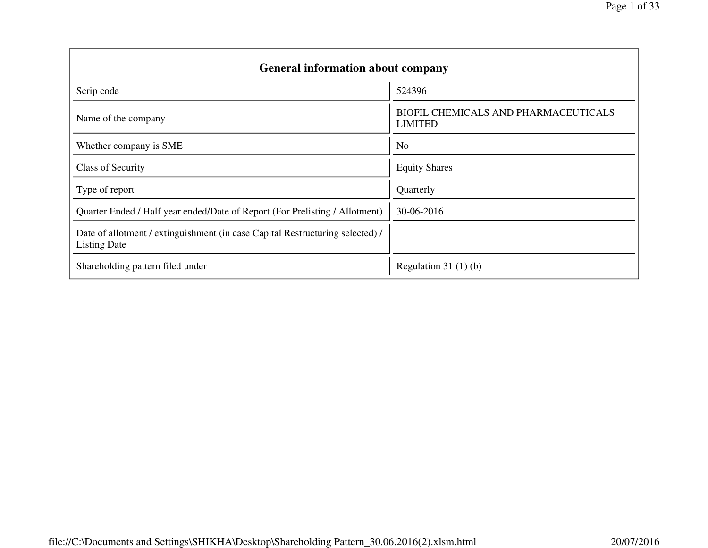| <b>General information about company</b>                                                             |                                                        |
|------------------------------------------------------------------------------------------------------|--------------------------------------------------------|
| Scrip code                                                                                           | 524396                                                 |
| Name of the company                                                                                  | BIOFIL CHEMICALS AND PHARMACEUTICALS<br><b>LIMITED</b> |
| Whether company is SME                                                                               | N <sub>o</sub>                                         |
| <b>Class of Security</b>                                                                             | <b>Equity Shares</b>                                   |
| Type of report                                                                                       | Quarterly                                              |
| Quarter Ended / Half year ended/Date of Report (For Prelisting / Allotment)                          | 30-06-2016                                             |
| Date of allotment / extinguishment (in case Capital Restructuring selected) /<br><b>Listing Date</b> |                                                        |
| Shareholding pattern filed under                                                                     | Regulation 31 $(1)(b)$                                 |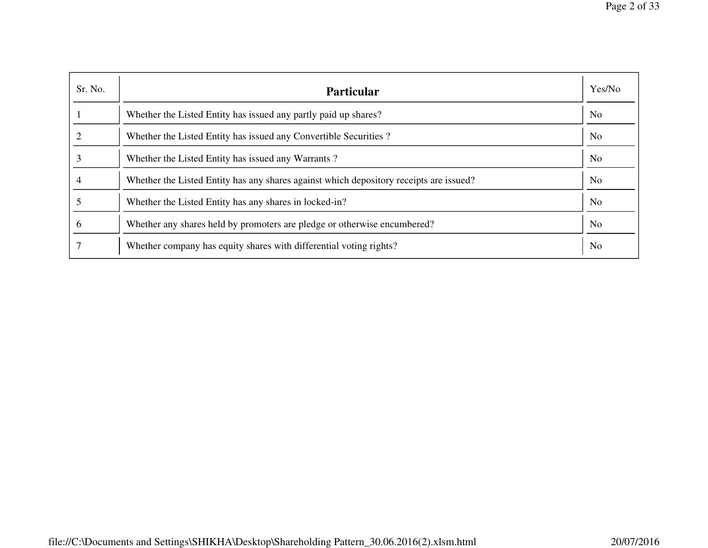| Sr. No.  | <b>Particular</b>                                                                      | Yes/No         |
|----------|----------------------------------------------------------------------------------------|----------------|
|          | Whether the Listed Entity has issued any partly paid up shares?                        | N <sub>0</sub> |
|          | Whether the Listed Entity has issued any Convertible Securities?                       | N <sub>0</sub> |
|          | Whether the Listed Entity has issued any Warrants?                                     | N <sub>0</sub> |
|          | Whether the Listed Entity has any shares against which depository receipts are issued? | N <sub>0</sub> |
|          | Whether the Listed Entity has any shares in locked-in?                                 | N <sub>o</sub> |
| $\sigma$ | Whether any shares held by promoters are pledge or otherwise encumbered?               | N <sub>0</sub> |
|          | Whether company has equity shares with differential voting rights?                     | N <sub>0</sub> |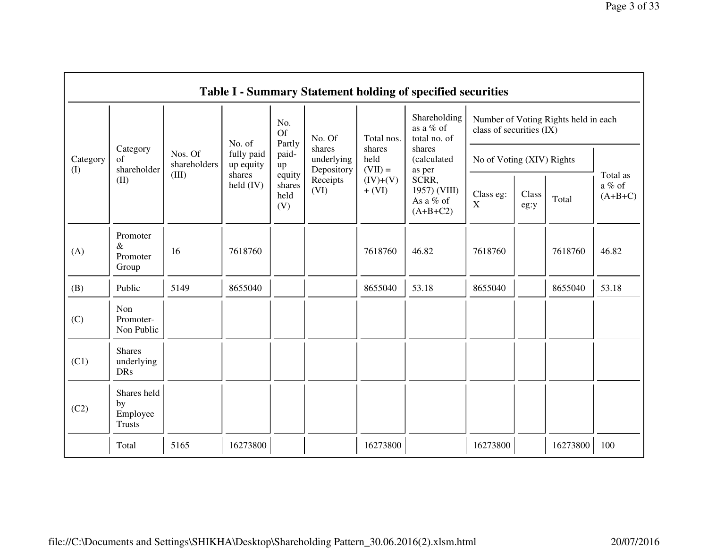|                 |                                                |                         |                         |                                 |                                    |                             | <b>Table I - Summary Statement holding of specified securities</b> |                           |               |                                      |                                 |  |
|-----------------|------------------------------------------------|-------------------------|-------------------------|---------------------------------|------------------------------------|-----------------------------|--------------------------------------------------------------------|---------------------------|---------------|--------------------------------------|---------------------------------|--|
|                 |                                                |                         | No. of                  | No.<br><b>Of</b><br>Partly      | No. Of                             | Total nos.                  | Shareholding<br>as a % of<br>total no. of                          | class of securities (IX)  |               | Number of Voting Rights held in each |                                 |  |
| Category<br>(I) | Category<br>$\sigma$ f<br>shareholder          | Nos. Of<br>shareholders | fully paid<br>up equity | paid-<br>up                     | shares<br>underlying<br>Depository | shares<br>held<br>$(VII) =$ | shares<br>(calculated<br>as per                                    | No of Voting (XIV) Rights |               |                                      |                                 |  |
|                 | (II)                                           | (III)                   | shares<br>$held$ (IV)   | equity<br>shares<br>held<br>(V) | Receipts<br>(VI)                   | $(IV)+(V)$<br>$+ (VI)$      | SCRR,<br>1957) (VIII)<br>As a % of<br>$(A+B+C2)$                   | Class eg:<br>X            | Class<br>eg:y | Total                                | Total as<br>a % of<br>$(A+B+C)$ |  |
| (A)             | Promoter<br>$\&$<br>Promoter<br>Group          | 16                      | 7618760                 |                                 |                                    | 7618760                     | 46.82                                                              | 7618760                   |               | 7618760                              | 46.82                           |  |
| (B)             | Public                                         | 5149                    | 8655040                 |                                 |                                    | 8655040                     | 53.18                                                              | 8655040                   |               | 8655040                              | 53.18                           |  |
| (C)             | Non<br>Promoter-<br>Non Public                 |                         |                         |                                 |                                    |                             |                                                                    |                           |               |                                      |                                 |  |
| (C1)            | <b>Shares</b><br>underlying<br><b>DRs</b>      |                         |                         |                                 |                                    |                             |                                                                    |                           |               |                                      |                                 |  |
| (C2)            | Shares held<br>by<br>Employee<br><b>Trusts</b> |                         |                         |                                 |                                    |                             |                                                                    |                           |               |                                      |                                 |  |
|                 | Total                                          | 5165                    | 16273800                |                                 |                                    | 16273800                    |                                                                    | 16273800                  |               | 16273800                             | 100                             |  |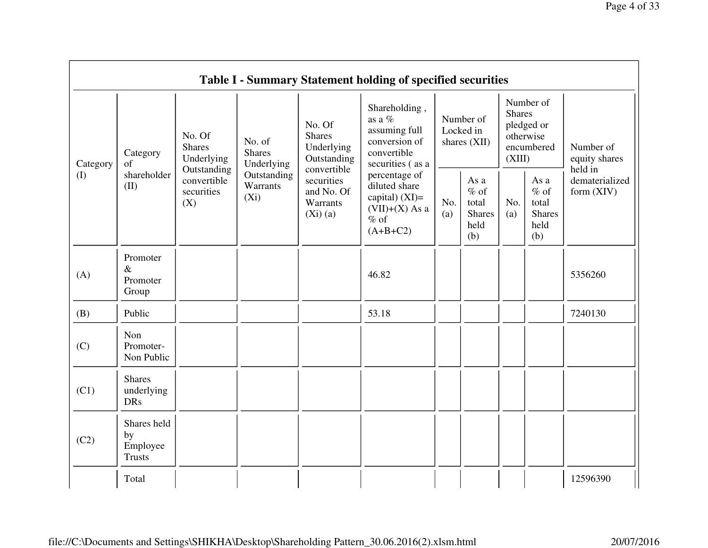|          |                                                         |                                  |                                                                                                                     |                                                                                                | <b>Table I - Summary Statement holding of specified securities</b>                             |            |                                                                               |            |                                                         |                                |
|----------|---------------------------------------------------------|----------------------------------|---------------------------------------------------------------------------------------------------------------------|------------------------------------------------------------------------------------------------|------------------------------------------------------------------------------------------------|------------|-------------------------------------------------------------------------------|------------|---------------------------------------------------------|--------------------------------|
| Category | No. Of<br><b>Shares</b><br>Category<br>Underlying<br>of | No. of<br><b>Shares</b>          | No. Of<br><b>Shares</b><br>Underlying<br>Outstanding                                                                | Shareholding,<br>as a $%$<br>assuming full<br>conversion of<br>convertible<br>securities (as a | Number of<br>Locked in<br>shares (XII)                                                         |            | Number of<br><b>Shares</b><br>pledged or<br>otherwise<br>encumbered<br>(XIII) |            | Number of<br>equity shares<br>held in                   |                                |
| (I)      | shareholder<br>(II)                                     | convertible<br>securities<br>(X) | Underlying<br>Outstanding<br>convertible<br>Outstanding<br>securities<br>Warrants<br>$(X_i)$<br>Warrants<br>(Xi)(a) | and No. Of                                                                                     | percentage of<br>diluted share<br>capital) $(XI)=$<br>$(VII)+(X)$ As a<br>$%$ of<br>$(A+B+C2)$ | No.<br>(a) | As a<br>$%$ of<br>total<br><b>Shares</b><br>held<br>(b)                       | No.<br>(a) | As a<br>$%$ of<br>total<br><b>Shares</b><br>held<br>(b) | dematerialized<br>form $(XIV)$ |
| (A)      | Promoter<br>$\&$<br>Promoter<br>Group                   |                                  |                                                                                                                     |                                                                                                | 46.82                                                                                          |            |                                                                               |            |                                                         | 5356260                        |
| (B)      | Public                                                  |                                  |                                                                                                                     |                                                                                                | 53.18                                                                                          |            |                                                                               |            |                                                         | 7240130                        |
| (C)      | Non<br>Promoter-<br>Non Public                          |                                  |                                                                                                                     |                                                                                                |                                                                                                |            |                                                                               |            |                                                         |                                |
| (C1)     | <b>Shares</b><br>underlying<br><b>DRs</b>               |                                  |                                                                                                                     |                                                                                                |                                                                                                |            |                                                                               |            |                                                         |                                |
| (C2)     | Shares held<br>by<br>Employee<br><b>Trusts</b>          |                                  |                                                                                                                     |                                                                                                |                                                                                                |            |                                                                               |            |                                                         |                                |
|          | Total                                                   |                                  |                                                                                                                     |                                                                                                |                                                                                                |            |                                                                               |            |                                                         | 12596390                       |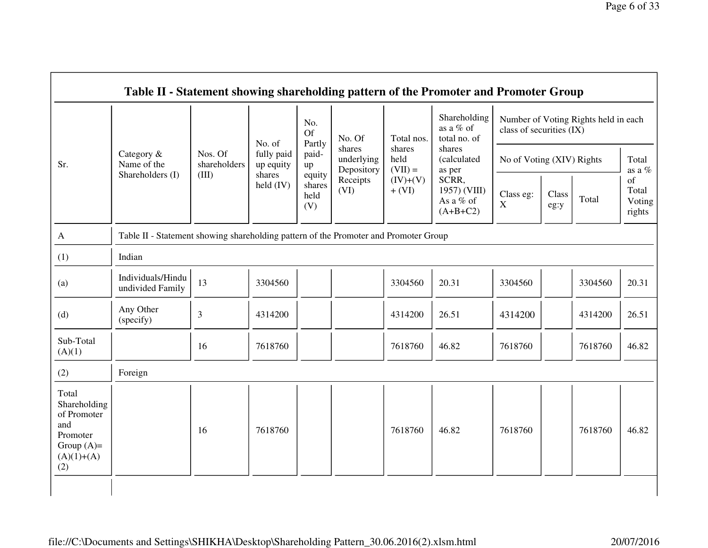|                                                                                                | Table II - Statement showing shareholding pattern of the Promoter and Promoter Group |                         |                              |                                 |                                    |                             |                                                  |                                                                  |               |         |                                 |  |
|------------------------------------------------------------------------------------------------|--------------------------------------------------------------------------------------|-------------------------|------------------------------|---------------------------------|------------------------------------|-----------------------------|--------------------------------------------------|------------------------------------------------------------------|---------------|---------|---------------------------------|--|
|                                                                                                |                                                                                      | Nos. Of<br>shareholders | No. of                       | No.<br><b>Of</b><br>Partly      | No. Of                             | Total nos.                  | Shareholding<br>as a % of<br>total no. of        | Number of Voting Rights held in each<br>class of securities (IX) |               |         |                                 |  |
| Sr.                                                                                            | Category &<br>Name of the                                                            |                         | fully paid<br>up equity      | paid-<br>up                     | shares<br>underlying<br>Depository | shares<br>held<br>$(VII) =$ | shares<br>(calculated<br>as per                  | No of Voting (XIV) Rights                                        |               |         | Total<br>as a $\%$              |  |
|                                                                                                | Shareholders (I)                                                                     | (III)                   | shares<br>$\text{held (IV)}$ | equity<br>shares<br>held<br>(V) | Receipts<br>(VI)                   | $(IV)+(V)$<br>$+$ (VI)      | SCRR,<br>1957) (VIII)<br>As a % of<br>$(A+B+C2)$ | Class eg:<br>$\mathbf X$                                         | Class<br>eg:y | Total   | of<br>Total<br>Voting<br>rights |  |
| A                                                                                              | Table II - Statement showing shareholding pattern of the Promoter and Promoter Group |                         |                              |                                 |                                    |                             |                                                  |                                                                  |               |         |                                 |  |
| (1)                                                                                            | Indian                                                                               |                         |                              |                                 |                                    |                             |                                                  |                                                                  |               |         |                                 |  |
| (a)                                                                                            | Individuals/Hindu<br>undivided Family                                                | 13                      | 3304560                      |                                 |                                    | 3304560                     | 20.31                                            | 3304560                                                          |               | 3304560 | 20.31                           |  |
| (d)                                                                                            | Any Other<br>(specify)                                                               | $\mathfrak{Z}$          | 4314200                      |                                 |                                    | 4314200                     | 26.51                                            | 4314200                                                          |               | 4314200 | 26.51                           |  |
| Sub-Total<br>(A)(1)                                                                            |                                                                                      | 16                      | 7618760                      |                                 |                                    | 7618760                     | 46.82                                            | 7618760                                                          |               | 7618760 | 46.82                           |  |
| (2)                                                                                            | Foreign                                                                              |                         |                              |                                 |                                    |                             |                                                  |                                                                  |               |         |                                 |  |
| Total<br>Shareholding<br>of Promoter<br>and<br>Promoter<br>Group $(A)=$<br>$(A)(1)+(A)$<br>(2) |                                                                                      | 16                      | 7618760                      |                                 |                                    | 7618760                     | 46.82                                            | 7618760                                                          |               | 7618760 | 46.82                           |  |
|                                                                                                |                                                                                      |                         |                              |                                 |                                    |                             |                                                  |                                                                  |               |         |                                 |  |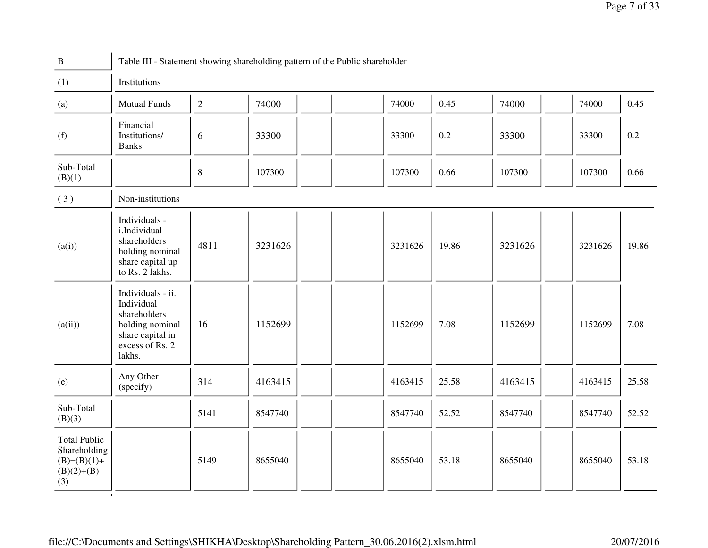| $\mathbf{B}$                                                                |                                                                                                                     |              |         | Table III - Statement showing shareholding pattern of the Public shareholder |         |       |         |         |       |
|-----------------------------------------------------------------------------|---------------------------------------------------------------------------------------------------------------------|--------------|---------|------------------------------------------------------------------------------|---------|-------|---------|---------|-------|
| (1)                                                                         | Institutions                                                                                                        |              |         |                                                                              |         |       |         |         |       |
| (a)                                                                         | <b>Mutual Funds</b>                                                                                                 | $\mathbf{2}$ | 74000   |                                                                              | 74000   | 0.45  | 74000   | 74000   | 0.45  |
| (f)                                                                         | Financial<br>Institutions/<br><b>Banks</b>                                                                          | 6            | 33300   |                                                                              | 33300   | 0.2   | 33300   | 33300   | 0.2   |
| Sub-Total<br>(B)(1)                                                         |                                                                                                                     | $\,8\,$      | 107300  |                                                                              | 107300  | 0.66  | 107300  | 107300  | 0.66  |
| (3)                                                                         | Non-institutions                                                                                                    |              |         |                                                                              |         |       |         |         |       |
| (a(i))                                                                      | Individuals -<br>i.Individual<br>shareholders<br>holding nominal<br>share capital up<br>to Rs. 2 lakhs.             | 4811         | 3231626 |                                                                              | 3231626 | 19.86 | 3231626 | 3231626 | 19.86 |
| (a(ii))                                                                     | Individuals - ii.<br>Individual<br>shareholders<br>holding nominal<br>share capital in<br>excess of Rs. 2<br>lakhs. | 16           | 1152699 |                                                                              | 1152699 | 7.08  | 1152699 | 1152699 | 7.08  |
| (e)                                                                         | Any Other<br>(specify)                                                                                              | 314          | 4163415 |                                                                              | 4163415 | 25.58 | 4163415 | 4163415 | 25.58 |
| Sub-Total<br>(B)(3)                                                         |                                                                                                                     | 5141         | 8547740 |                                                                              | 8547740 | 52.52 | 8547740 | 8547740 | 52.52 |
| <b>Total Public</b><br>Shareholding<br>$(B)=(B)(1)+$<br>$(B)(2)+(B)$<br>(3) | $\pm 0$                                                                                                             | 5149         | 8655040 |                                                                              | 8655040 | 53.18 | 8655040 | 8655040 | 53.18 |

file://C:\Documents and Settings\SHIKHA\Desktop\Shareholding Pattern\_30.06.2016(2).xlsm.html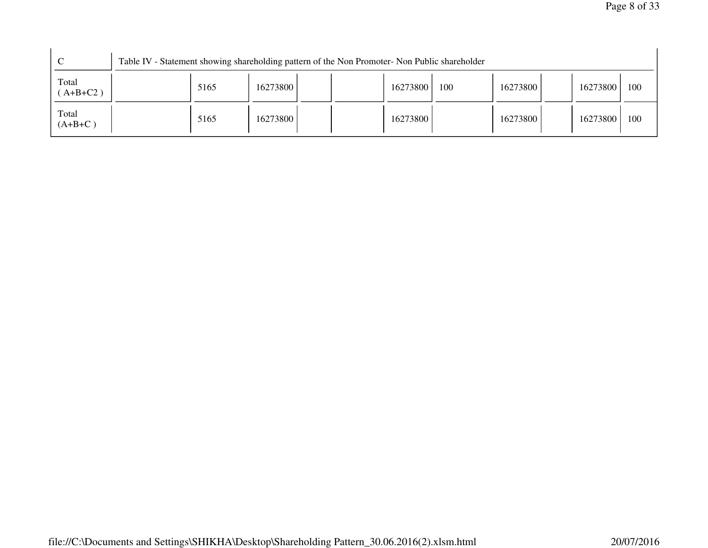|                      | Table IV - Statement showing shareholding pattern of the Non Promoter- Non Public shareholder |      |          |  |          |     |          |          |     |
|----------------------|-----------------------------------------------------------------------------------------------|------|----------|--|----------|-----|----------|----------|-----|
| Total<br>$AA+B+C2$ ) |                                                                                               | 5165 | 16273800 |  | 16273800 | 100 | 16273800 | 16273800 | 100 |
| Total<br>$(A+B+C)$   |                                                                                               | 5165 | 16273800 |  | 16273800 |     | 16273800 | 16273800 | 100 |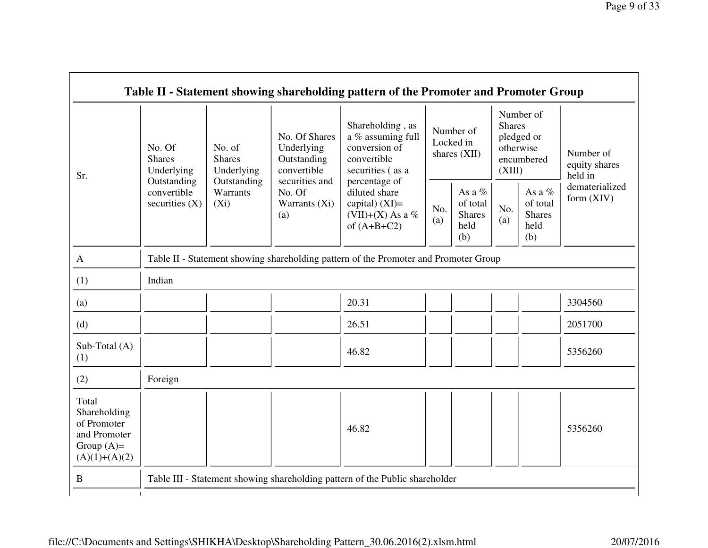|                                                                                         |                                                |                                       |                                                           | Table II - Statement showing shareholding pattern of the Promoter and Promoter Group      |                                        |                                                    |                                                                               |                                                    |                                       |
|-----------------------------------------------------------------------------------------|------------------------------------------------|---------------------------------------|-----------------------------------------------------------|-------------------------------------------------------------------------------------------|----------------------------------------|----------------------------------------------------|-------------------------------------------------------------------------------|----------------------------------------------------|---------------------------------------|
| Sr.                                                                                     | No. Of<br><b>Shares</b><br>Underlying          | No. of<br><b>Shares</b><br>Underlying | No. Of Shares<br>Underlying<br>Outstanding<br>convertible | Shareholding, as<br>a % assuming full<br>conversion of<br>convertible<br>securities (as a | Number of<br>Locked in<br>shares (XII) |                                                    | Number of<br><b>Shares</b><br>pledged or<br>otherwise<br>encumbered<br>(XIII) |                                                    | Number of<br>equity shares<br>held in |
|                                                                                         | Outstanding<br>convertible<br>securities $(X)$ | Outstanding<br>Warrants<br>$(X_i)$    | securities and<br>No. Of<br>Warrants (Xi)<br>(a)          | percentage of<br>diluted share<br>capital) $(XI)=$<br>(VII)+(X) As a %<br>of $(A+B+C2)$   | No.<br>(a)                             | As a %<br>of total<br><b>Shares</b><br>held<br>(b) | No.<br>(a)                                                                    | As a %<br>of total<br><b>Shares</b><br>held<br>(b) | dematerialized<br>form (XIV)          |
| $\mathbf{A}$                                                                            |                                                |                                       |                                                           | Table II - Statement showing shareholding pattern of the Promoter and Promoter Group      |                                        |                                                    |                                                                               |                                                    |                                       |
| (1)                                                                                     | Indian                                         |                                       |                                                           |                                                                                           |                                        |                                                    |                                                                               |                                                    |                                       |
| (a)                                                                                     |                                                |                                       |                                                           | 20.31                                                                                     |                                        |                                                    |                                                                               |                                                    | 3304560                               |
| (d)                                                                                     |                                                |                                       |                                                           | 26.51                                                                                     |                                        |                                                    |                                                                               |                                                    | 2051700                               |
| Sub-Total (A)<br>(1)                                                                    |                                                |                                       |                                                           | 46.82                                                                                     |                                        |                                                    |                                                                               |                                                    | 5356260                               |
| (2)                                                                                     | Foreign                                        |                                       |                                                           |                                                                                           |                                        |                                                    |                                                                               |                                                    |                                       |
| Total<br>Shareholding<br>of Promoter<br>and Promoter<br>Group $(A)=$<br>$(A)(1)+(A)(2)$ |                                                |                                       |                                                           | 46.82                                                                                     |                                        |                                                    |                                                                               |                                                    | 5356260                               |
| B                                                                                       |                                                |                                       |                                                           | Table III - Statement showing shareholding pattern of the Public shareholder              |                                        |                                                    |                                                                               |                                                    |                                       |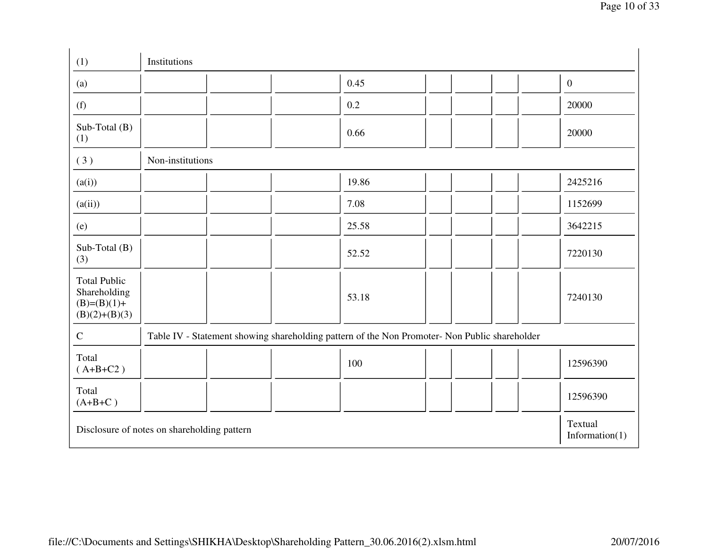| (1)                                                                     | Institutions                                |                                                                                               |                              |
|-------------------------------------------------------------------------|---------------------------------------------|-----------------------------------------------------------------------------------------------|------------------------------|
| (a)                                                                     |                                             | 0.45                                                                                          | $\mathbf{0}$                 |
| (f)                                                                     |                                             | 0.2                                                                                           | 20000                        |
| Sub-Total (B)<br>(1)                                                    |                                             | 0.66                                                                                          | 20000                        |
| (3)                                                                     | Non-institutions                            |                                                                                               |                              |
| (a(i))                                                                  |                                             | 19.86                                                                                         | 2425216                      |
| (a(ii))                                                                 |                                             | 7.08                                                                                          | 1152699                      |
| (e)                                                                     |                                             | 25.58                                                                                         | 3642215                      |
| Sub-Total (B)<br>(3)                                                    |                                             | 52.52                                                                                         | 7220130                      |
| <b>Total Public</b><br>Shareholding<br>$(B)=(B)(1)+$<br>$(B)(2)+(B)(3)$ |                                             | 53.18                                                                                         | 7240130                      |
| $\mathbf C$                                                             |                                             | Table IV - Statement showing shareholding pattern of the Non Promoter- Non Public shareholder |                              |
| Total<br>$(A+B+C2)$                                                     |                                             | 100                                                                                           | 12596390                     |
| Total<br>$(A+B+C)$                                                      |                                             |                                                                                               | 12596390                     |
|                                                                         | Disclosure of notes on shareholding pattern |                                                                                               | Textual<br>Information $(1)$ |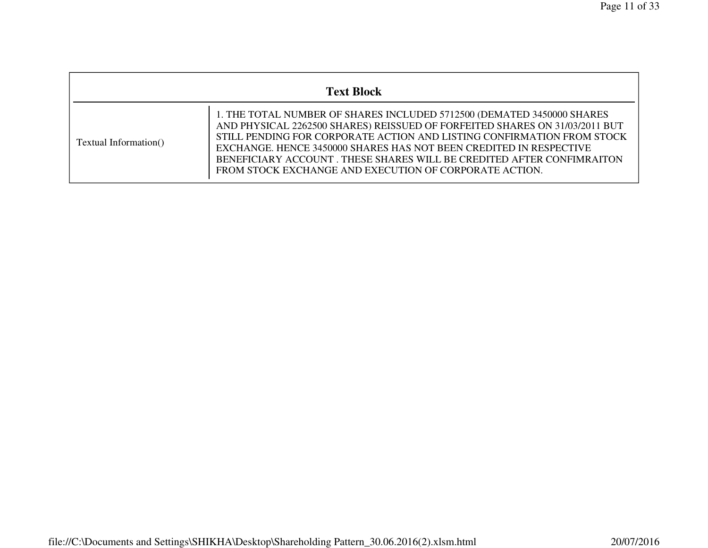|                       | <b>Text Block</b>                                                                                                                                                                                                                                                                                                                                                                                                                        |  |  |  |  |  |  |  |  |
|-----------------------|------------------------------------------------------------------------------------------------------------------------------------------------------------------------------------------------------------------------------------------------------------------------------------------------------------------------------------------------------------------------------------------------------------------------------------------|--|--|--|--|--|--|--|--|
| Textual Information() | 1. THE TOTAL NUMBER OF SHARES INCLUDED 5712500 (DEMATED 3450000 SHARES<br>AND PHYSICAL 2262500 SHARES) REISSUED OF FORFEITED SHARES ON 31/03/2011 BUT<br>STILL PENDING FOR CORPORATE ACTION AND LISTING CONFIRMATION FROM STOCK<br>EXCHANGE. HENCE 3450000 SHARES HAS NOT BEEN CREDITED IN RESPECTIVE<br>BENEFICIARY ACCOUNT. THESE SHARES WILL BE CREDITED AFTER CONFIMRAITON<br>FROM STOCK EXCHANGE AND EXECUTION OF CORPORATE ACTION. |  |  |  |  |  |  |  |  |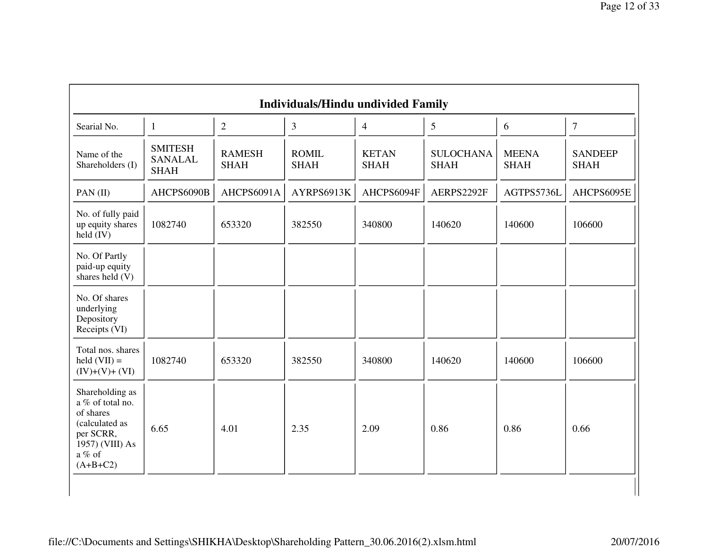|                                                                                                                            |                                                 |                              | <b>Individuals/Hindu undivided Family</b> |                             |                                 |                             |                               |
|----------------------------------------------------------------------------------------------------------------------------|-------------------------------------------------|------------------------------|-------------------------------------------|-----------------------------|---------------------------------|-----------------------------|-------------------------------|
| Searial No.                                                                                                                | $\mathbf{1}$                                    | $\overline{2}$               | $\mathfrak{Z}$                            | $\overline{4}$              | 5                               | 6                           | $\tau$                        |
| Name of the<br>Shareholders (I)                                                                                            | <b>SMITESH</b><br><b>SANALAL</b><br><b>SHAH</b> | <b>RAMESH</b><br><b>SHAH</b> | <b>ROMIL</b><br><b>SHAH</b>               | <b>KETAN</b><br><b>SHAH</b> | <b>SULOCHANA</b><br><b>SHAH</b> | <b>MEENA</b><br><b>SHAH</b> | <b>SANDEEP</b><br><b>SHAH</b> |
| PAN $(II)$                                                                                                                 | AHCPS6090B                                      | AHCPS6091A                   | AYRPS6913K                                | AHCPS6094F                  | AERPS2292F                      | AGTPS5736L                  | AHCPS6095E                    |
| No. of fully paid<br>up equity shares<br>$held$ (IV)                                                                       | 1082740                                         | 653320                       | 382550                                    | 340800                      | 140620                          | 140600                      | 106600                        |
| No. Of Partly<br>paid-up equity<br>shares held (V)                                                                         |                                                 |                              |                                           |                             |                                 |                             |                               |
| No. Of shares<br>underlying<br>Depository<br>Receipts (VI)                                                                 |                                                 |                              |                                           |                             |                                 |                             |                               |
| Total nos. shares<br>$\text{held (VII)} =$<br>$(IV)+(V)+(VI)$                                                              | 1082740                                         | 653320                       | 382550                                    | 340800                      | 140620                          | 140600                      | 106600                        |
| Shareholding as<br>a % of total no.<br>of shares<br>(calculated as<br>per SCRR,<br>1957) (VIII) As<br>a % of<br>$(A+B+C2)$ | 6.65                                            | 4.01                         | 2.35                                      | 2.09                        | 0.86                            | 0.86                        | 0.66                          |

file://C:\Documents and Settings\SHIKHA\Desktop\Shareholding Pattern\_30.06.2016(2).xlsm.html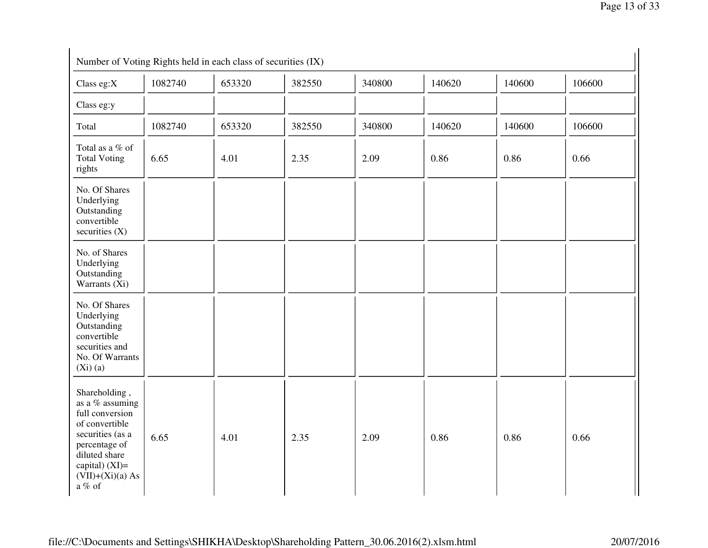| Number of Voting Rights held in each class of securities (IX)                                                                                                                   |         |        |        |        |        |        |        |
|---------------------------------------------------------------------------------------------------------------------------------------------------------------------------------|---------|--------|--------|--------|--------|--------|--------|
| Class eg:X                                                                                                                                                                      | 1082740 | 653320 | 382550 | 340800 | 140620 | 140600 | 106600 |
| Class eg:y                                                                                                                                                                      |         |        |        |        |        |        |        |
| Total                                                                                                                                                                           | 1082740 | 653320 | 382550 | 340800 | 140620 | 140600 | 106600 |
| Total as a % of<br><b>Total Voting</b><br>rights                                                                                                                                | 6.65    | 4.01   | 2.35   | 2.09   | 0.86   | 0.86   | 0.66   |
| No. Of Shares<br>Underlying<br>Outstanding<br>convertible<br>securities $(X)$                                                                                                   |         |        |        |        |        |        |        |
| No. of Shares<br>Underlying<br>Outstanding<br>Warrants (Xi)                                                                                                                     |         |        |        |        |        |        |        |
| No. Of Shares<br>Underlying<br>Outstanding<br>convertible<br>securities and<br>No. Of Warrants<br>(Xi)(a)                                                                       |         |        |        |        |        |        |        |
| Shareholding,<br>as a % assuming<br>full conversion<br>of convertible<br>securities (as a<br>percentage of<br>diluted share<br>capital) $(XI)=$<br>$(VII)+(Xi)(a) As$<br>a % of | 6.65    | 4.01   | 2.35   | 2.09   | 0.86   | 0.86   | 0.66   |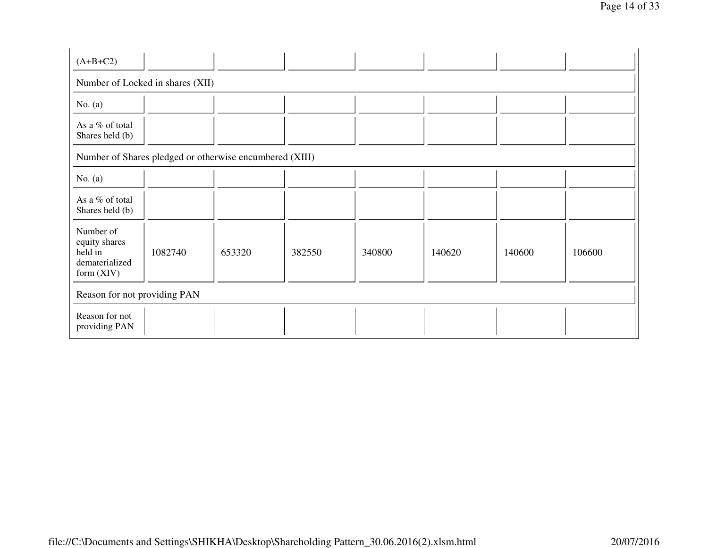| $(A+B+C2)$                                                              |                                                         |        |        |        |        |        |        |
|-------------------------------------------------------------------------|---------------------------------------------------------|--------|--------|--------|--------|--------|--------|
| Number of Locked in shares (XII)                                        |                                                         |        |        |        |        |        |        |
| No. $(a)$                                                               |                                                         |        |        |        |        |        |        |
| As a % of total<br>Shares held (b)                                      |                                                         |        |        |        |        |        |        |
|                                                                         | Number of Shares pledged or otherwise encumbered (XIII) |        |        |        |        |        |        |
| No. $(a)$                                                               |                                                         |        |        |        |        |        |        |
| As a % of total<br>Shares held (b)                                      |                                                         |        |        |        |        |        |        |
| Number of<br>equity shares<br>held in<br>dematerialized<br>form $(XIV)$ | 1082740                                                 | 653320 | 382550 | 340800 | 140620 | 140600 | 106600 |
| Reason for not providing PAN                                            |                                                         |        |        |        |        |        |        |
| Reason for not<br>providing PAN                                         |                                                         |        |        |        |        |        |        |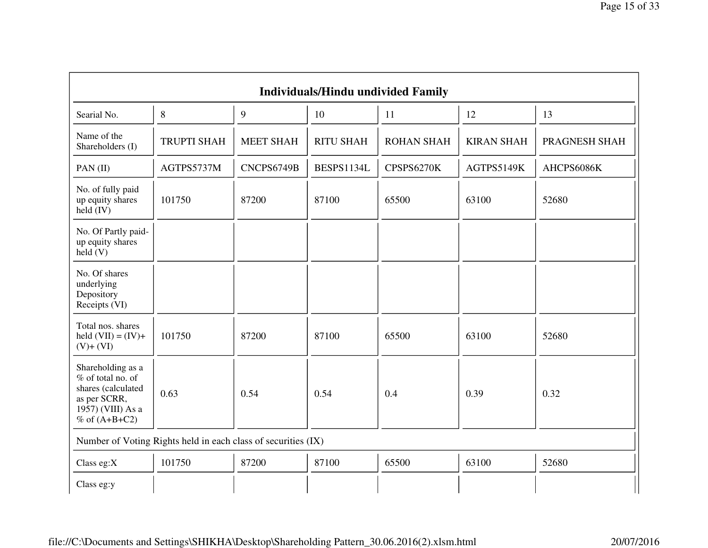| <b>Individuals/Hindu undivided Family</b>                                                                            |                                                               |                  |                  |                   |                   |               |
|----------------------------------------------------------------------------------------------------------------------|---------------------------------------------------------------|------------------|------------------|-------------------|-------------------|---------------|
| Searial No.                                                                                                          | 8                                                             | 9                | 10               | 11                | 12                | 13            |
| Name of the<br>Shareholders (I)                                                                                      | <b>TRUPTI SHAH</b>                                            | <b>MEET SHAH</b> | <b>RITU SHAH</b> | <b>ROHAN SHAH</b> | <b>KIRAN SHAH</b> | PRAGNESH SHAH |
| PAN(II)                                                                                                              | AGTPS5737M                                                    | CNCPS6749B       | BESPS1134L       | CPSPS6270K        | AGTPS5149K        | AHCPS6086K    |
| No. of fully paid<br>up equity shares<br>held $(IV)$                                                                 | 101750                                                        | 87200            | 87100            | 65500             | 63100             | 52680         |
| No. Of Partly paid-<br>up equity shares<br>held(V)                                                                   |                                                               |                  |                  |                   |                   |               |
| No. Of shares<br>underlying<br>Depository<br>Receipts (VI)                                                           |                                                               |                  |                  |                   |                   |               |
| Total nos. shares<br>held $(VII) = (IV) +$<br>$(V)$ + $(VI)$                                                         | 101750                                                        | 87200            | 87100            | 65500             | 63100             | 52680         |
| Shareholding as a<br>% of total no. of<br>shares (calculated<br>as per SCRR,<br>1957) (VIII) As a<br>$%$ of (A+B+C2) | 0.63                                                          | 0.54             | 0.54             | 0.4               | 0.39              | 0.32          |
|                                                                                                                      | Number of Voting Rights held in each class of securities (IX) |                  |                  |                   |                   |               |
| Class eg: $X$                                                                                                        | 101750                                                        | 87200            | 87100            | 65500             | 63100             | 52680         |
| Class eg:y                                                                                                           |                                                               |                  |                  |                   |                   |               |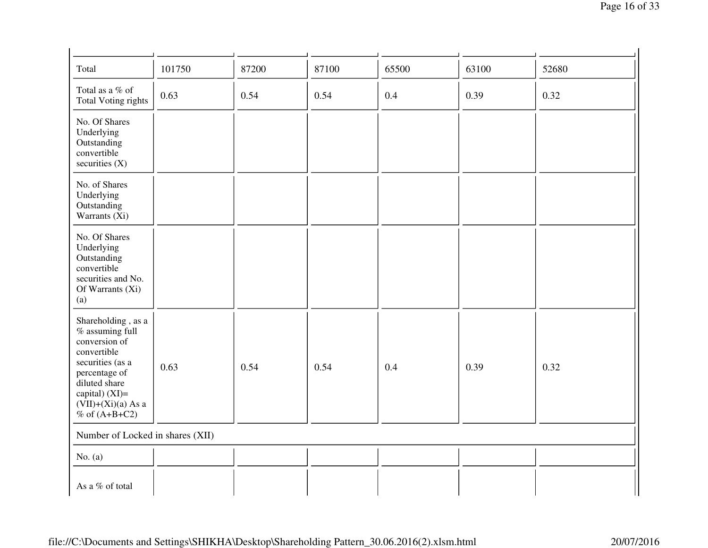| Total                                                                                                                                                                                      | 101750                           | 87200 | 87100 | 65500 | 63100 | 52680 |
|--------------------------------------------------------------------------------------------------------------------------------------------------------------------------------------------|----------------------------------|-------|-------|-------|-------|-------|
| Total as a % of<br><b>Total Voting rights</b>                                                                                                                                              | 0.63                             | 0.54  | 0.54  | 0.4   | 0.39  | 0.32  |
| No. Of Shares<br>Underlying<br>Outstanding<br>convertible<br>securities $(X)$                                                                                                              |                                  |       |       |       |       |       |
| No. of Shares<br>Underlying<br>Outstanding<br>Warrants (Xi)                                                                                                                                |                                  |       |       |       |       |       |
| No. Of Shares<br>Underlying<br>Outstanding<br>convertible<br>securities and No.<br>Of Warrants (Xi)<br>(a)                                                                                 |                                  |       |       |       |       |       |
| Shareholding, as a<br>% assuming full<br>conversion of<br>convertible<br>securities (as a<br>percentage of<br>diluted share<br>capital) (XI)=<br>$(VII)+(Xi)(a) As a$<br>$%$ of $(A+B+C2)$ | 0.63                             | 0.54  | 0.54  | 0.4   | 0.39  | 0.32  |
|                                                                                                                                                                                            | Number of Locked in shares (XII) |       |       |       |       |       |
| No. $(a)$                                                                                                                                                                                  |                                  |       |       |       |       |       |
| As a % of total                                                                                                                                                                            |                                  |       |       |       |       |       |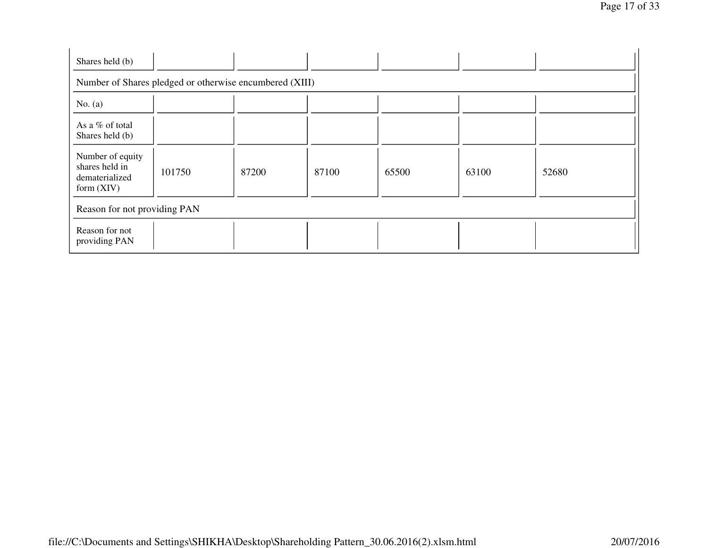| Shares held (b)                                                      |                                                         |       |       |       |       |       |  |
|----------------------------------------------------------------------|---------------------------------------------------------|-------|-------|-------|-------|-------|--|
|                                                                      | Number of Shares pledged or otherwise encumbered (XIII) |       |       |       |       |       |  |
| No. $(a)$                                                            |                                                         |       |       |       |       |       |  |
| As a % of total<br>Shares held (b)                                   |                                                         |       |       |       |       |       |  |
| Number of equity<br>shares held in<br>dematerialized<br>form $(XIV)$ | 101750                                                  | 87200 | 87100 | 65500 | 63100 | 52680 |  |
| Reason for not providing PAN                                         |                                                         |       |       |       |       |       |  |
| Reason for not<br>providing PAN                                      |                                                         |       |       |       |       |       |  |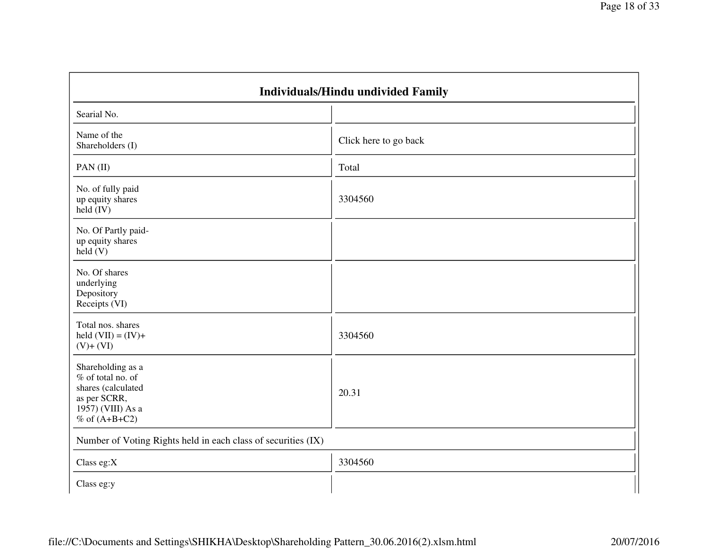| Individuals/Hindu undivided Family                                                                                     |                       |  |  |  |
|------------------------------------------------------------------------------------------------------------------------|-----------------------|--|--|--|
| Searial No.                                                                                                            |                       |  |  |  |
| Name of the<br>Shareholders (I)                                                                                        | Click here to go back |  |  |  |
| PAN(II)                                                                                                                | Total                 |  |  |  |
| No. of fully paid<br>up equity shares<br>held $(IV)$                                                                   | 3304560               |  |  |  |
| No. Of Partly paid-<br>up equity shares<br>$\text{held}(V)$                                                            |                       |  |  |  |
| No. Of shares<br>underlying<br>Depository<br>Receipts (VI)                                                             |                       |  |  |  |
| Total nos. shares<br>held $(VII) = (IV) +$<br>$(V)$ + $(VI)$                                                           | 3304560               |  |  |  |
| Shareholding as a<br>% of total no. of<br>shares (calculated<br>as per SCRR,<br>1957) (VIII) As a<br>$%$ of $(A+B+C2)$ | 20.31                 |  |  |  |
| Number of Voting Rights held in each class of securities (IX)                                                          |                       |  |  |  |
| Class eg: $X$                                                                                                          | 3304560               |  |  |  |
| Class eg:y                                                                                                             |                       |  |  |  |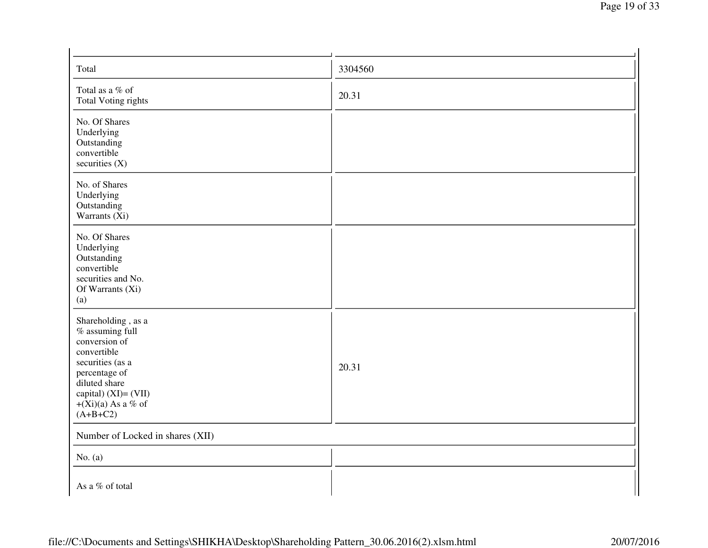| Total                                                                                                                                                                                     | 3304560 |  |  |  |
|-------------------------------------------------------------------------------------------------------------------------------------------------------------------------------------------|---------|--|--|--|
| Total as a % of<br><b>Total Voting rights</b>                                                                                                                                             | 20.31   |  |  |  |
| No. Of Shares<br>Underlying<br>Outstanding<br>convertible<br>securities (X)                                                                                                               |         |  |  |  |
| No. of Shares<br>Underlying<br>Outstanding<br>Warrants (Xi)                                                                                                                               |         |  |  |  |
| No. Of Shares<br>Underlying<br>Outstanding<br>convertible<br>securities and No.<br>Of Warrants (Xi)<br>(a)                                                                                |         |  |  |  |
| Shareholding, as a<br>% assuming full<br>conversion of<br>convertible<br>securities (as a<br>percentage of<br>diluted share<br>capital) (XI)= (VII)<br>$+(Xi)(a)$ As a % of<br>$(A+B+C2)$ | 20.31   |  |  |  |
| Number of Locked in shares (XII)                                                                                                                                                          |         |  |  |  |
| No. $(a)$                                                                                                                                                                                 |         |  |  |  |
| As a % of total                                                                                                                                                                           |         |  |  |  |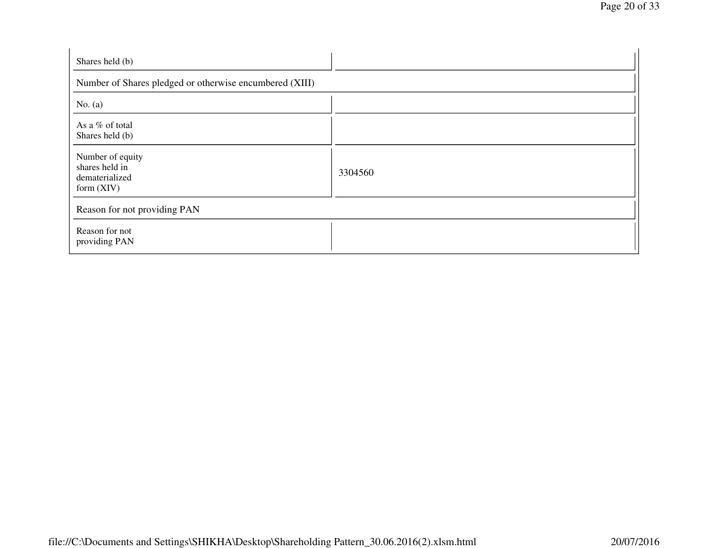| Shares held (b)                                                      |         |  |  |  |  |
|----------------------------------------------------------------------|---------|--|--|--|--|
| Number of Shares pledged or otherwise encumbered (XIII)              |         |  |  |  |  |
| No. $(a)$                                                            |         |  |  |  |  |
| As a % of total<br>Shares held (b)                                   |         |  |  |  |  |
| Number of equity<br>shares held in<br>dematerialized<br>form $(XIV)$ | 3304560 |  |  |  |  |
| Reason for not providing PAN                                         |         |  |  |  |  |
| Reason for not<br>providing PAN                                      |         |  |  |  |  |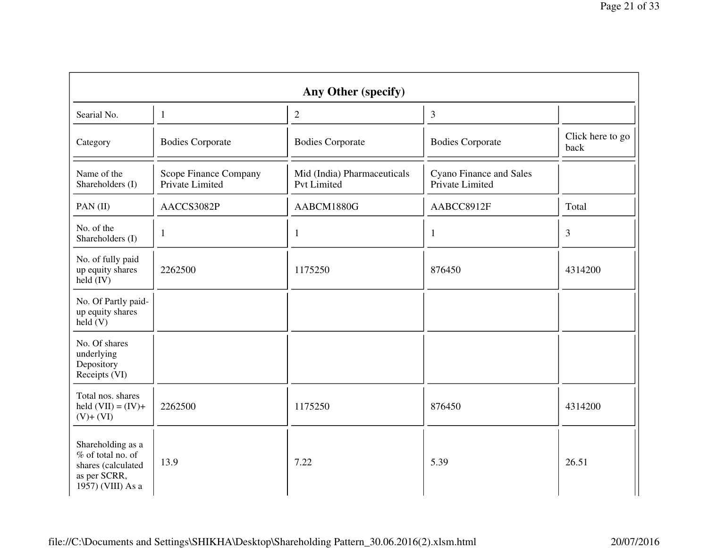| Any Other (specify)                                                                               |                                          |                                                   |                                                   |                          |  |
|---------------------------------------------------------------------------------------------------|------------------------------------------|---------------------------------------------------|---------------------------------------------------|--------------------------|--|
| Searial No.                                                                                       | $\mathbf{1}$                             | $\mathbf{2}$                                      | 3                                                 |                          |  |
| Category                                                                                          | <b>Bodies Corporate</b>                  | <b>Bodies Corporate</b>                           | <b>Bodies Corporate</b>                           | Click here to go<br>back |  |
| Name of the<br>Shareholders (I)                                                                   | Scope Finance Company<br>Private Limited | Mid (India) Pharmaceuticals<br><b>Pvt Limited</b> | <b>Cyano Finance and Sales</b><br>Private Limited |                          |  |
| PAN(II)                                                                                           | AACCS3082P                               | AABCM1880G                                        | AABCC8912F                                        | Total                    |  |
| No. of the<br>Shareholders (I)                                                                    | $\mathbf{1}$                             | 1                                                 | 1                                                 | 3                        |  |
| No. of fully paid<br>up equity shares<br>$\text{held (IV)}$                                       | 2262500                                  | 1175250                                           | 876450                                            | 4314200                  |  |
| No. Of Partly paid-<br>up equity shares<br>held(V)                                                |                                          |                                                   |                                                   |                          |  |
| No. Of shares<br>underlying<br>Depository<br>Receipts (VI)                                        |                                          |                                                   |                                                   |                          |  |
| Total nos. shares<br>held $(VII) = (IV) +$<br>$(V)+(VI)$                                          | 2262500                                  | 1175250                                           | 876450                                            | 4314200                  |  |
| Shareholding as a<br>% of total no. of<br>shares (calculated<br>as per SCRR,<br>1957) (VIII) As a | 13.9                                     | 7.22                                              | 5.39                                              | 26.51                    |  |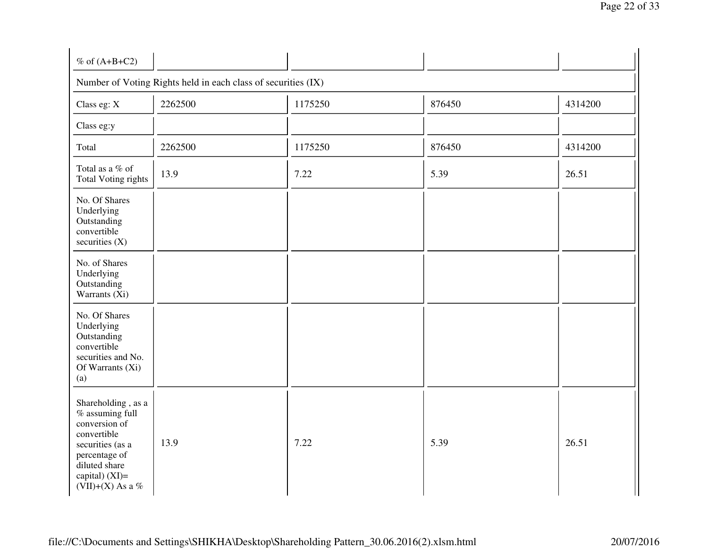| $%$ of $(A+B+C2)$                                                                                                                                                   |         |         |        |         |  |  |
|---------------------------------------------------------------------------------------------------------------------------------------------------------------------|---------|---------|--------|---------|--|--|
| Number of Voting Rights held in each class of securities (IX)                                                                                                       |         |         |        |         |  |  |
| Class eg: X                                                                                                                                                         | 2262500 | 1175250 | 876450 | 4314200 |  |  |
| Class eg:y                                                                                                                                                          |         |         |        |         |  |  |
| Total                                                                                                                                                               | 2262500 | 1175250 | 876450 | 4314200 |  |  |
| Total as a % of<br><b>Total Voting rights</b>                                                                                                                       | 13.9    | 7.22    | 5.39   | 26.51   |  |  |
| No. Of Shares<br>Underlying<br>Outstanding<br>convertible<br>securities $(X)$                                                                                       |         |         |        |         |  |  |
| No. of Shares<br>Underlying<br>Outstanding<br>Warrants $(X_i)$                                                                                                      |         |         |        |         |  |  |
| No. Of Shares<br>Underlying<br>Outstanding<br>convertible<br>securities and No.<br>Of Warrants (Xi)<br>(a)                                                          |         |         |        |         |  |  |
| Shareholding, as a<br>% assuming full<br>conversion of<br>convertible<br>securities (as a<br>percentage of<br>diluted share<br>capital) $(XI)=$<br>(VII)+(X) As a % | 13.9    | 7.22    | 5.39   | 26.51   |  |  |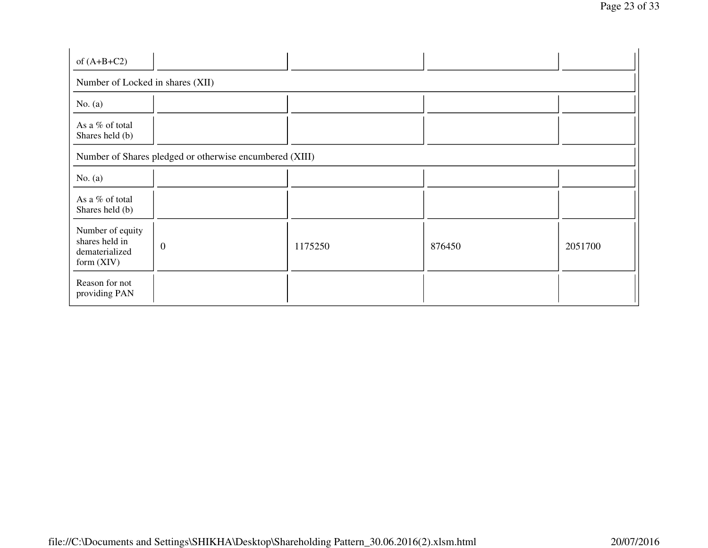| of $(A+B+C2)$                                                        |                                                         |         |        |         |  |  |
|----------------------------------------------------------------------|---------------------------------------------------------|---------|--------|---------|--|--|
| Number of Locked in shares (XII)                                     |                                                         |         |        |         |  |  |
| No. $(a)$                                                            |                                                         |         |        |         |  |  |
| As a % of total<br>Shares held (b)                                   |                                                         |         |        |         |  |  |
|                                                                      | Number of Shares pledged or otherwise encumbered (XIII) |         |        |         |  |  |
| No. $(a)$                                                            |                                                         |         |        |         |  |  |
| As a % of total<br>Shares held (b)                                   |                                                         |         |        |         |  |  |
| Number of equity<br>shares held in<br>dematerialized<br>form $(XIV)$ | $\boldsymbol{0}$                                        | 1175250 | 876450 | 2051700 |  |  |
| Reason for not<br>providing PAN                                      |                                                         |         |        |         |  |  |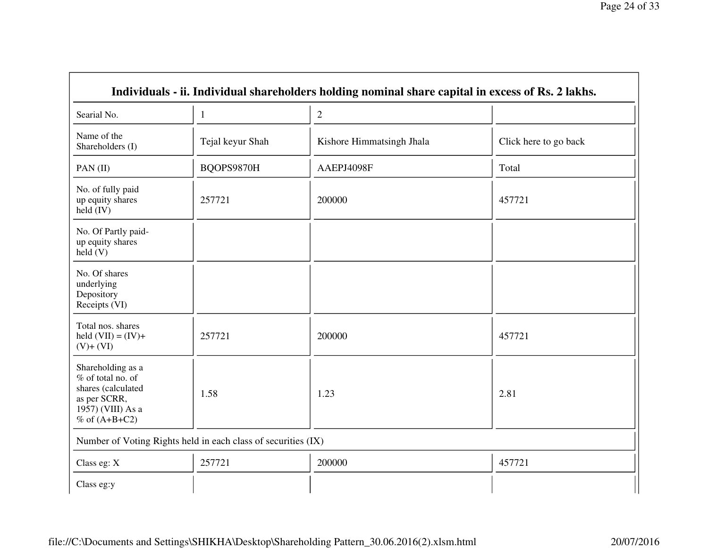| Individuals - ii. Individual shareholders holding nominal share capital in excess of Rs. 2 lakhs.                      |                                                               |                           |                       |  |  |
|------------------------------------------------------------------------------------------------------------------------|---------------------------------------------------------------|---------------------------|-----------------------|--|--|
| Searial No.                                                                                                            | 1                                                             | $\overline{2}$            |                       |  |  |
| Name of the<br>Shareholders (I)                                                                                        | Tejal keyur Shah                                              | Kishore Himmatsingh Jhala | Click here to go back |  |  |
| PAN(II)                                                                                                                | BQOPS9870H                                                    | AAEPJ4098F                | Total                 |  |  |
| No. of fully paid<br>up equity shares<br>held $(IV)$                                                                   | 257721                                                        | 200000                    | 457721                |  |  |
| No. Of Partly paid-<br>up equity shares<br>held(V)                                                                     |                                                               |                           |                       |  |  |
| No. Of shares<br>underlying<br>Depository<br>Receipts (VI)                                                             |                                                               |                           |                       |  |  |
| Total nos. shares<br>held $(VII) = (IV) +$<br>$(V)+(VI)$                                                               | 257721                                                        | 200000                    | 457721                |  |  |
| Shareholding as a<br>% of total no. of<br>shares (calculated<br>as per SCRR,<br>1957) (VIII) As a<br>$%$ of $(A+B+C2)$ | 1.58                                                          | 1.23                      | 2.81                  |  |  |
|                                                                                                                        | Number of Voting Rights held in each class of securities (IX) |                           |                       |  |  |
| Class eg: X                                                                                                            | 257721                                                        | 200000                    | 457721                |  |  |
| Class eg:y                                                                                                             |                                                               |                           |                       |  |  |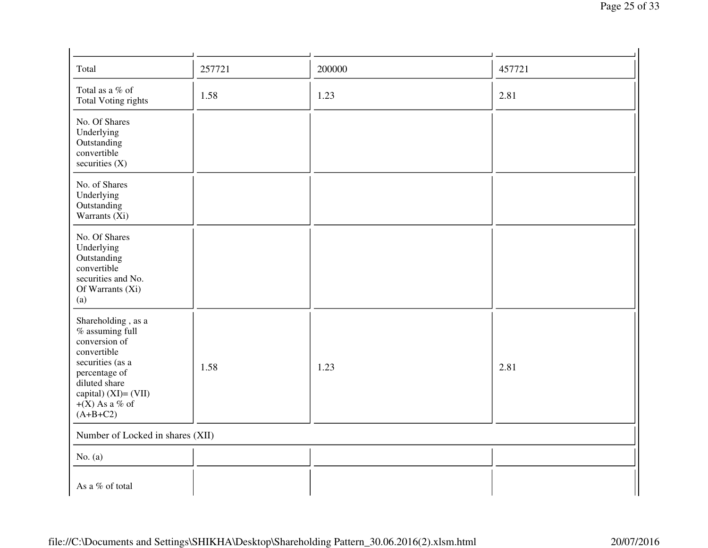| Total                                                                                                                                                                                      | 257721 | 200000 | 457721 |  |  |
|--------------------------------------------------------------------------------------------------------------------------------------------------------------------------------------------|--------|--------|--------|--|--|
| Total as a % of<br><b>Total Voting rights</b>                                                                                                                                              | 1.58   | 1.23   | 2.81   |  |  |
| No. Of Shares<br>Underlying<br>Outstanding<br>convertible<br>securities $(X)$                                                                                                              |        |        |        |  |  |
| No. of Shares<br>Underlying<br>Outstanding<br>Warrants $(X_i)$                                                                                                                             |        |        |        |  |  |
| No. Of Shares<br>Underlying<br>Outstanding<br>convertible<br>securities and No.<br>Of Warrants (Xi)<br>(a)                                                                                 |        |        |        |  |  |
| Shareholding, as a<br>$%$ assuming full<br>conversion of<br>convertible<br>securities (as a<br>percentage of<br>diluted share<br>capital) $(XI) = (VII)$<br>$+(X)$ As a % of<br>$(A+B+C2)$ | 1.58   | 1.23   | 2.81   |  |  |
| Number of Locked in shares (XII)                                                                                                                                                           |        |        |        |  |  |
| No. $(a)$                                                                                                                                                                                  |        |        |        |  |  |
| As a % of total                                                                                                                                                                            |        |        |        |  |  |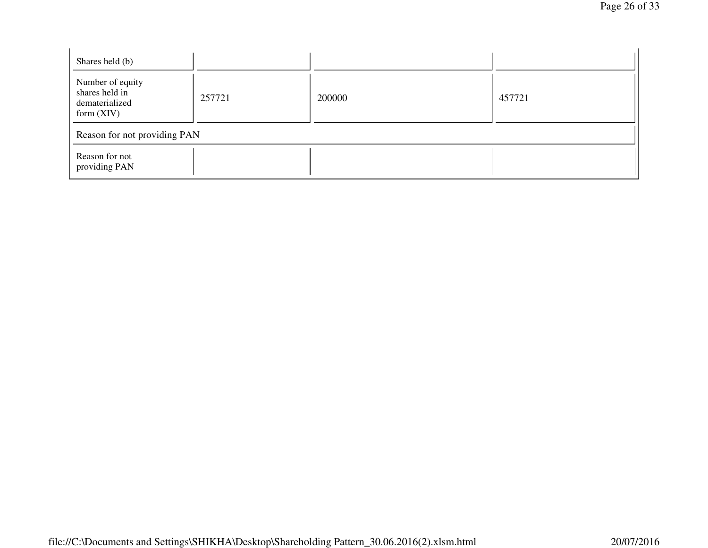| Shares held (b)                                                      |        |        |        |  |  |
|----------------------------------------------------------------------|--------|--------|--------|--|--|
| Number of equity<br>shares held in<br>dematerialized<br>form $(XIV)$ | 257721 | 200000 | 457721 |  |  |
| Reason for not providing PAN                                         |        |        |        |  |  |
| Reason for not<br>providing PAN                                      |        |        |        |  |  |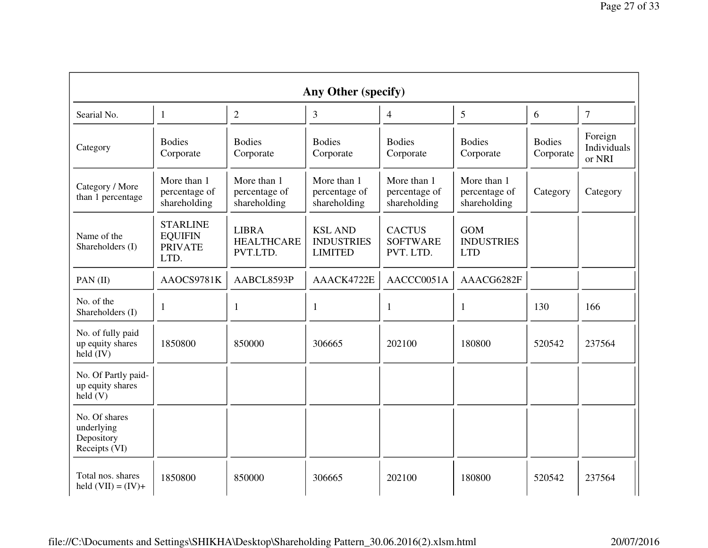| Any Other (specify)                                         |                                                             |                                               |                                                       |                                               |                                               |                            |                                  |
|-------------------------------------------------------------|-------------------------------------------------------------|-----------------------------------------------|-------------------------------------------------------|-----------------------------------------------|-----------------------------------------------|----------------------------|----------------------------------|
| Searial No.                                                 | $\mathbf{1}$                                                | $\overline{2}$                                | 3                                                     | 4                                             | 5                                             | 6                          | $\overline{7}$                   |
| Category                                                    | <b>Bodies</b><br>Corporate                                  | <b>Bodies</b><br>Corporate                    | <b>Bodies</b><br>Corporate                            | <b>Bodies</b><br>Corporate                    | <b>Bodies</b><br>Corporate                    | <b>Bodies</b><br>Corporate | Foreign<br>Individuals<br>or NRI |
| Category / More<br>than 1 percentage                        | More than 1<br>percentage of<br>shareholding                | More than 1<br>percentage of<br>shareholding  | More than 1<br>percentage of<br>shareholding          | More than 1<br>percentage of<br>shareholding  | More than 1<br>percentage of<br>shareholding  | Category                   | Category                         |
| Name of the<br>Shareholders (I)                             | <b>STARLINE</b><br><b>EQUIFIN</b><br><b>PRIVATE</b><br>LTD. | <b>LIBRA</b><br><b>HEALTHCARE</b><br>PVT.LTD. | <b>KSL AND</b><br><b>INDUSTRIES</b><br><b>LIMITED</b> | <b>CACTUS</b><br><b>SOFTWARE</b><br>PVT. LTD. | <b>GOM</b><br><b>INDUSTRIES</b><br><b>LTD</b> |                            |                                  |
| PAN(II)                                                     | AAOCS9781K                                                  | AABCL8593P                                    | AAACK4722E                                            | AACCC0051A                                    | AAACG6282F                                    |                            |                                  |
| No. of the<br>Shareholders (I)                              | $\mathbf{1}$                                                | 1                                             | 1                                                     | 1                                             | 1                                             | 130                        | 166                              |
| No. of fully paid<br>up equity shares<br>held (IV)          | 1850800                                                     | 850000                                        | 306665                                                | 202100                                        | 180800                                        | 520542                     | 237564                           |
| No. Of Partly paid-<br>up equity shares<br>$\text{held}(V)$ |                                                             |                                               |                                                       |                                               |                                               |                            |                                  |
| No. Of shares<br>underlying<br>Depository<br>Receipts (VI)  |                                                             |                                               |                                                       |                                               |                                               |                            |                                  |
| Total nos. shares<br>held $(VII) = (IV) +$                  | 1850800                                                     | 850000                                        | 306665                                                | 202100                                        | 180800                                        | 520542                     | 237564                           |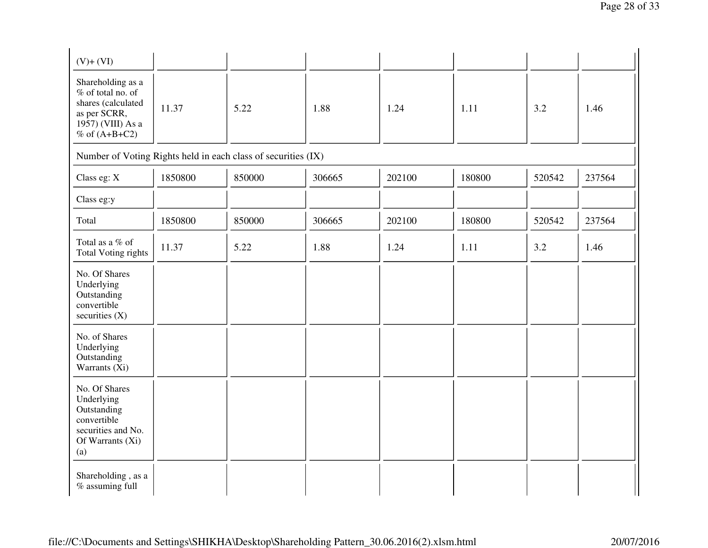| $(V)+(VI)$                                                                                                             |         |        |        |        |        |        |        |
|------------------------------------------------------------------------------------------------------------------------|---------|--------|--------|--------|--------|--------|--------|
| Shareholding as a<br>% of total no. of<br>shares (calculated<br>as per SCRR,<br>1957) (VIII) As a<br>$%$ of $(A+B+C2)$ | 11.37   | 5.22   | 1.88   | 1.24   | 1.11   | 3.2    | 1.46   |
| Number of Voting Rights held in each class of securities (IX)                                                          |         |        |        |        |        |        |        |
| Class eg: X                                                                                                            | 1850800 | 850000 | 306665 | 202100 | 180800 | 520542 | 237564 |
| Class eg:y                                                                                                             |         |        |        |        |        |        |        |
| Total                                                                                                                  | 1850800 | 850000 | 306665 | 202100 | 180800 | 520542 | 237564 |
| Total as a % of<br><b>Total Voting rights</b>                                                                          | 11.37   | 5.22   | 1.88   | 1.24   | 1.11   | 3.2    | 1.46   |
| No. Of Shares<br>Underlying<br>Outstanding<br>convertible<br>securities $(X)$                                          |         |        |        |        |        |        |        |
| No. of Shares<br>Underlying<br>Outstanding<br>Warrants (Xi)                                                            |         |        |        |        |        |        |        |
| No. Of Shares<br>Underlying<br>Outstanding<br>convertible<br>securities and No.<br>Of Warrants (Xi)<br>(a)             |         |        |        |        |        |        |        |
| Shareholding, as a<br>% assuming full                                                                                  |         |        |        |        |        |        |        |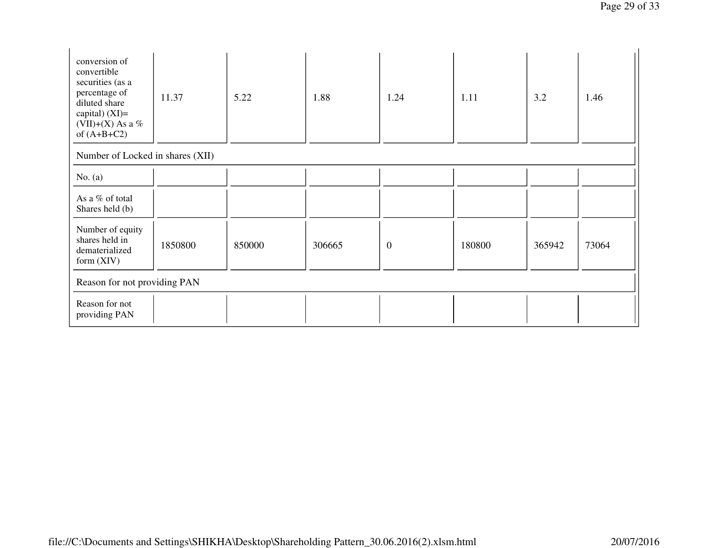| conversion of<br>convertible<br>securities (as a<br>percentage of<br>diluted share<br>capital) $(XI)=$<br>(VII)+(X) As a %<br>of $(A+B+C2)$ | 11.37   | 5.22   | 1.88   | 1.24             | 1.11   | 3.2    | 1.46  |
|---------------------------------------------------------------------------------------------------------------------------------------------|---------|--------|--------|------------------|--------|--------|-------|
| Number of Locked in shares (XII)                                                                                                            |         |        |        |                  |        |        |       |
| No. $(a)$                                                                                                                                   |         |        |        |                  |        |        |       |
| As a % of total<br>Shares held (b)                                                                                                          |         |        |        |                  |        |        |       |
| Number of equity<br>shares held in<br>dematerialized<br>form $(XIV)$                                                                        | 1850800 | 850000 | 306665 | $\boldsymbol{0}$ | 180800 | 365942 | 73064 |
| Reason for not providing PAN                                                                                                                |         |        |        |                  |        |        |       |
| Reason for not<br>providing PAN                                                                                                             |         |        |        |                  |        |        |       |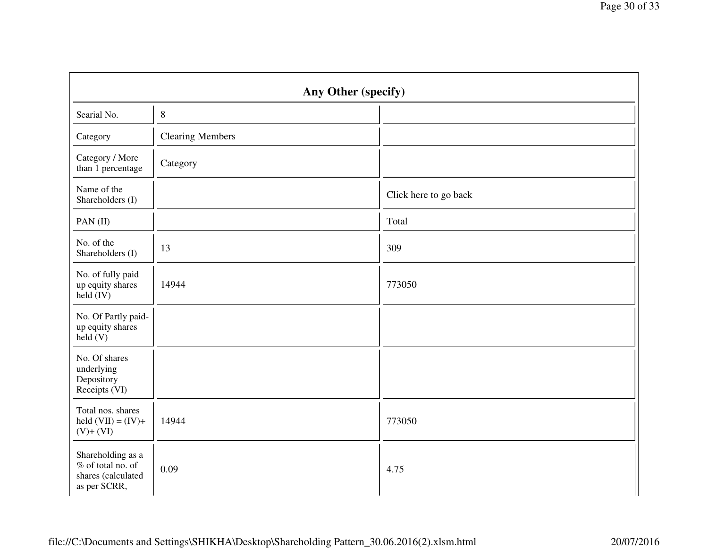| Any Other (specify)                                                          |                         |                       |  |  |  |
|------------------------------------------------------------------------------|-------------------------|-----------------------|--|--|--|
| Searial No.                                                                  | $\, 8$                  |                       |  |  |  |
| Category                                                                     | <b>Clearing Members</b> |                       |  |  |  |
| Category / More<br>than 1 percentage                                         | Category                |                       |  |  |  |
| Name of the<br>Shareholders (I)                                              |                         | Click here to go back |  |  |  |
| PAN(II)                                                                      |                         | Total                 |  |  |  |
| No. of the<br>Shareholders (I)                                               | 13                      | 309                   |  |  |  |
| No. of fully paid<br>up equity shares<br>$\text{held (IV)}$                  | 14944                   | 773050                |  |  |  |
| No. Of Partly paid-<br>up equity shares<br>held(V)                           |                         |                       |  |  |  |
| No. Of shares<br>underlying<br>Depository<br>Receipts (VI)                   |                         |                       |  |  |  |
| Total nos. shares<br>held $(VII) = (IV) +$<br>$(V)+(VI)$                     | 14944                   | 773050                |  |  |  |
| Shareholding as a<br>% of total no. of<br>shares (calculated<br>as per SCRR, | 0.09                    | 4.75                  |  |  |  |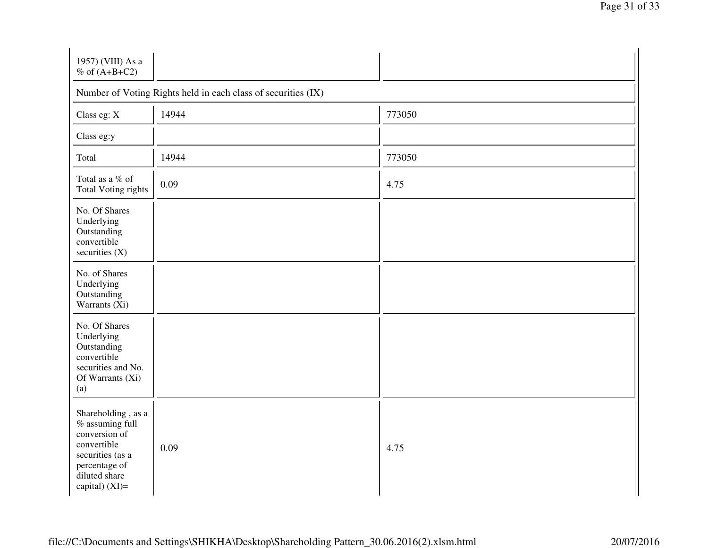| 1957) (VIII) As a<br>$%$ of (A+B+C2)                                                                                                              |                                                               |        |  |  |  |  |
|---------------------------------------------------------------------------------------------------------------------------------------------------|---------------------------------------------------------------|--------|--|--|--|--|
|                                                                                                                                                   | Number of Voting Rights held in each class of securities (IX) |        |  |  |  |  |
| Class eg: X                                                                                                                                       | 14944                                                         | 773050 |  |  |  |  |
| Class eg:y                                                                                                                                        |                                                               |        |  |  |  |  |
| Total                                                                                                                                             | 14944                                                         | 773050 |  |  |  |  |
| Total as a $\%$ of<br><b>Total Voting rights</b>                                                                                                  | 0.09                                                          | 4.75   |  |  |  |  |
| No. Of Shares<br>Underlying<br>Outstanding<br>convertible<br>securities (X)                                                                       |                                                               |        |  |  |  |  |
| No. of Shares<br>Underlying<br>Outstanding<br>Warrants (Xi)                                                                                       |                                                               |        |  |  |  |  |
| No. Of Shares<br>Underlying<br>Outstanding<br>convertible<br>securities and No.<br>Of Warrants (Xi)<br>(a)                                        |                                                               |        |  |  |  |  |
| Shareholding, as a<br>$%$ assuming full<br>conversion of<br>convertible<br>securities (as a<br>percentage of<br>diluted share<br>capital) $(XI)=$ | 0.09                                                          | 4.75   |  |  |  |  |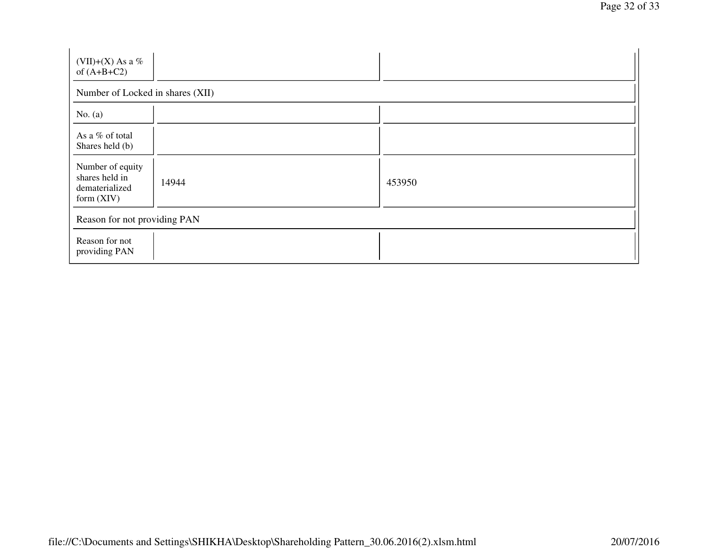| (VII)+(X) As a %<br>of $(A+B+C2)$                                    |                                  |        |  |  |  |  |  |
|----------------------------------------------------------------------|----------------------------------|--------|--|--|--|--|--|
|                                                                      | Number of Locked in shares (XII) |        |  |  |  |  |  |
| No. $(a)$                                                            |                                  |        |  |  |  |  |  |
| As a % of total<br>Shares held (b)                                   |                                  |        |  |  |  |  |  |
| Number of equity<br>shares held in<br>dematerialized<br>form $(XIV)$ | 14944                            | 453950 |  |  |  |  |  |
| Reason for not providing PAN                                         |                                  |        |  |  |  |  |  |
| Reason for not<br>providing PAN                                      |                                  |        |  |  |  |  |  |